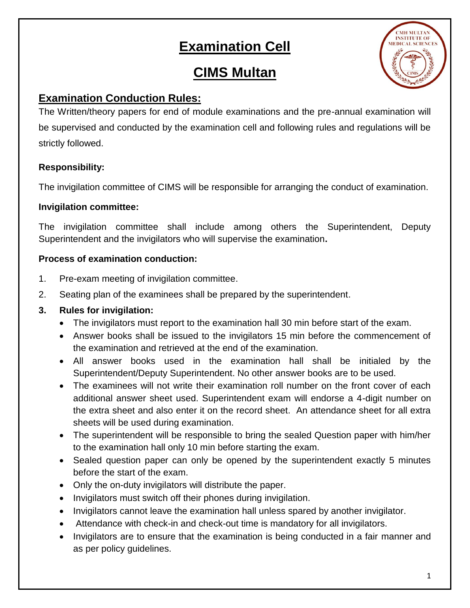# **Examination Cell**

## **CIMS Multan**



### **Examination Conduction Rules:**

The Written/theory papers for end of module examinations and the pre-annual examination will be supervised and conducted by the examination cell and following rules and regulations will be strictly followed.

#### **Responsibility:**

The invigilation committee of CIMS will be responsible for arranging the conduct of examination.

#### **Invigilation committee:**

The invigilation committee shall include among others the Superintendent, Deputy Superintendent and the invigilators who will supervise the examination**.**

#### **Process of examination conduction:**

- 1. Pre-exam meeting of invigilation committee.
- 2. Seating plan of the examinees shall be prepared by the superintendent.

#### **3. Rules for invigilation:**

- The invigilators must report to the examination hall 30 min before start of the exam.
- Answer books shall be issued to the invigilators 15 min before the commencement of the examination and retrieved at the end of the examination.
- All answer books used in the examination hall shall be initialed by the Superintendent/Deputy Superintendent. No other answer books are to be used.
- The examinees will not write their examination roll number on the front cover of each additional answer sheet used. Superintendent exam will endorse a 4-digit number on the extra sheet and also enter it on the record sheet. An attendance sheet for all extra sheets will be used during examination.
- The superintendent will be responsible to bring the sealed Question paper with him/her to the examination hall only 10 min before starting the exam.
- Sealed question paper can only be opened by the superintendent exactly 5 minutes before the start of the exam.
- Only the on-duty invigilators will distribute the paper.
- Invigilators must switch off their phones during invigilation.
- Invigilators cannot leave the examination hall unless spared by another invigilator.
- Attendance with check-in and check-out time is mandatory for all invigilators.
- Invigilators are to ensure that the examination is being conducted in a fair manner and as per policy guidelines.